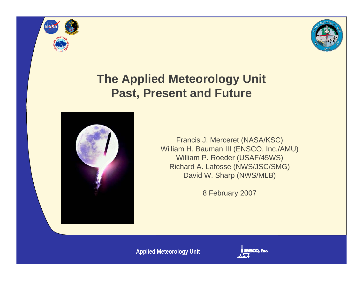



#### **The Applied Meteorology Unit Past, Present and Future**



Francis J. Merceret (NASA/KSC) William H. Bauman III (ENSCO, Inc./AMU) William P. Roeder (USAF/45WS) Richard A. Lafosse (NWS/JSC/SMG) David W. Sharp (NWS/MLB)

8 February 2007

**Applied Meteorology Unit**

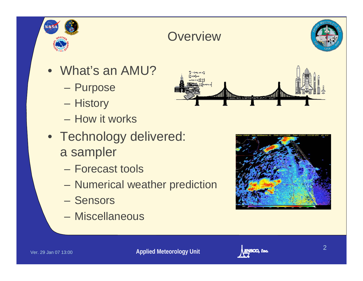

### **Overview**



- What's an AMU?
	- **Purpose**
	- **History**
	- How it works
- Technology delivered: a sampler
	- Forecast tools
	- –Numerical weather prediction
	- Sensors
	- Miscellaneous





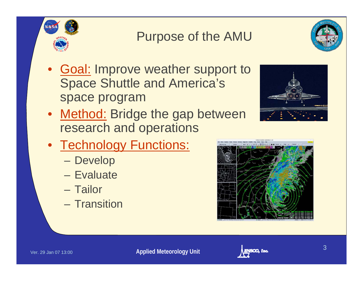### Purpose of the AMU



• <u>Method:</u> Bridge the gap between research and operations



- Technology Functions:
	- Develop
	- Evaluate
	- Tailor
	- Transition



 $\bullet$ 

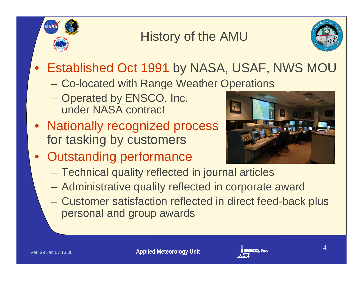## History of the AMU



- Established Oct 1991 by NASA, USAF, NWS MOU
	- Co-located with Range Weather Operations
	- Operated by ENSCO, Inc. under NASA contract
- Nationally recognized process for tasking by customers
- Outstanding performance



- –Technical quality reflected in journal articles
- Administrative quality reflected in corporate award
- Customer satisfaction reflected in direct feed-back plus personal and group awards

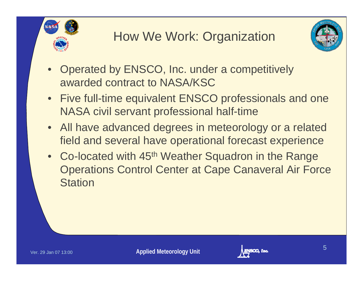



- $\bullet$  Operated by ENSCO, Inc. under a competitively awarded contract to NASA/KSC
- Five full-time equivalent ENSCO professionals and one NASA civil servant professional half-time
- All have advanced degrees in meteorology or a related field and several have operational forecast experience
- Co-located with 45<sup>th</sup> Weather Squadron in the Range Operations Control Center at Cape Canaveral Air Force **Station**

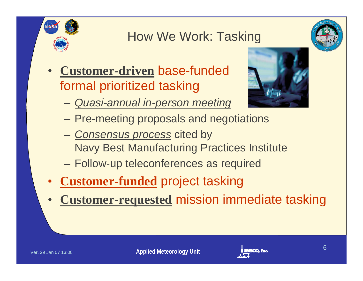

### How We Work: Tasking



 $\bullet$  **Customer-driven** base-funded formal prioritized tasking



- *Quasi-annual in-person meeting*
- Pre-meeting proposals and negotiations
- *Consensus process* cited by Navy Best Manufacturing Practices Institute
- Follow-up teleconferences as required
- •**Customer-funded** project tasking
- $\bullet$ **Customer-requested** mission immediate tasking

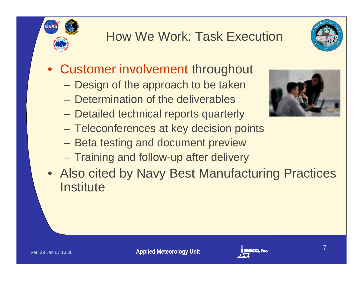## How We Work: Task Execution



- Customer involvement throughout
	- $\mathcal{L}_{\mathcal{A}}$ Design of the approach to be taken
	- Determination of the deliverables
	- Detailed technical reports quarterly
	- Teleconferences at key decision points
	- Beta testing and document preview
	- Training and follow-up after delivery
- Also cited by Navy Best Manufacturing Practices **Institute**



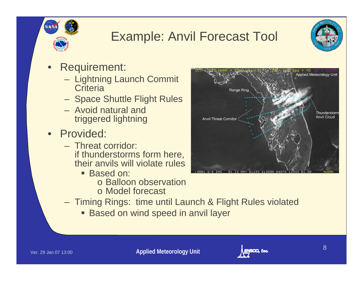## Example: Anvil Forecast Tool



- $\bullet$  Requirement:
	- Lightning Launch Commit **Criteria**
	- Space Shuttle Flight Rules
	- Avoid natural and triggered lightning
- Provided:
	- Threat corridor: if thunderstorms form here, their anvils will violate rules
		- Based on:
			- o Balloon observation
			- o Model forecast
	- Timing Rings: time until Launch & Flight Rules violated
		- Based on wind speed in anvil layer



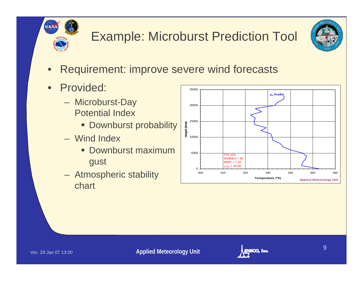

# Example: Microburst Prediction Tool



- $\bullet$ Requirement: improve severe wind forecasts
- • Provided:
	- Microburst-Day Potential Index
		- **Downburst probability**
	- Wind Index
		- **Downburst maximum** gust
	- Atmospheric stability chart



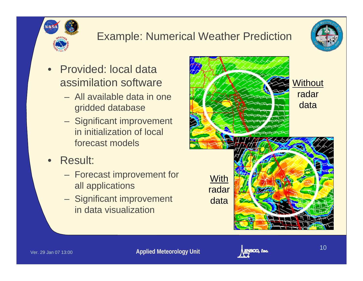#### Example: Numerical Weather Prediction



- $\bullet$  Provided: local data assimilation software
	- All available data in one gridded database
	- Significant improvement in initialization of local forecast models
- $\bullet$  Result:
	- Forecast improvement for all applications
	- Significant improvement in data visualization



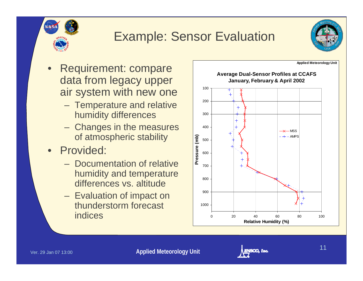



- $\bullet$  Requirement: compare data from legacy upper air system with new one
	- Temperature and relative humidity differences
	- Changes in the measures of atmospheric stability
- Provided:
	- Documentation of relative humidity and temperature differences vs. altitude
	- Evaluation of impact on thunderstorm forecast indices



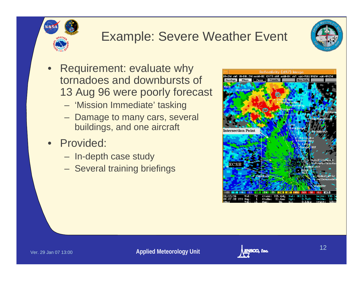# Example: Severe Weather Event



- $\bullet$  Requirement: evaluate why tornadoes and downbursts of 13 Aug 96 were poorly forecast
	- 'Mission Immediate' tasking
	- Damage to many cars, several buildings, and one aircraft
- Provided:
	- In-depth case study
	- Several training briefings



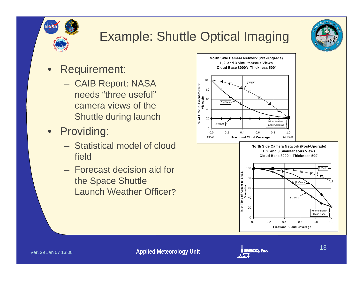

# Example: Shuttle Optical Imaging

 $0 -$ 

Clear

20

4060

2 View s

**% of Time in Ascent-to-SRBS Viewable**

- $\bullet$  Requirement:
	- CAIB Report: NASA needs "three useful"camera views of the Shuttle during launch
- Providing:
	- Statistical model of cloud field
	- Forecast decision aid for the Space Shuttle Launch Weather Officer?





 $\Omega$ 



Cloud Base

0.0 0.2 0.4 0.6 0.8 1.0**Fractional Cloud Coverage**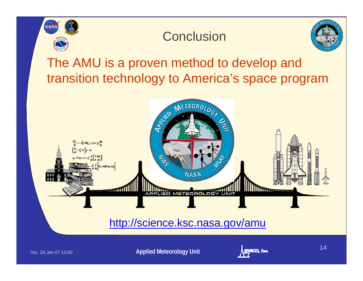

#### **Conclusion**



The AMU is a proven method to develop and transition technology to America's space program



**Applied Meteorology Unit Applied Meteorology Unit**